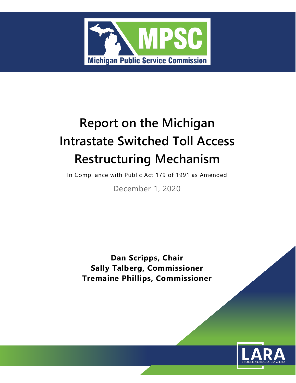

# **Report on the Michigan Intrastate Switched Toll Access Restructuring Mechanism**

In Compliance with Public Act 179 of 1991 as Amended

December 1, 2020

**Dan Scripps, Chair Sally Talberg, Commissioner Tremaine Phillips, Commissioner**

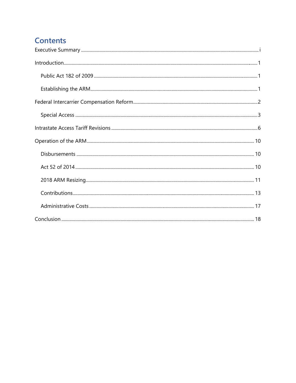# **Contents**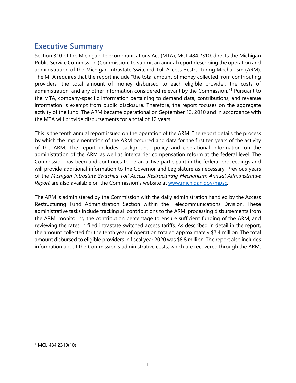# <span id="page-3-0"></span>**Executive Summary**

Section 310 of the Michigan Telecommunications Act (MTA), MCL 484.2310, directs the Michigan Public Service Commission (Commission) to submit an annual report describing the operation and administration of the Michigan Intrastate Switched Toll Access Restructuring Mechanism (ARM). The MTA requires that the report include "the total amount of money collected from contributing providers, the total amount of money disbursed to each eligible provider, the costs of administration, and any other information considered relevant by the Commission."[1](#page-3-1) Pursuant to the MTA, company-specific information pertaining to demand data, contributions, and revenue information is exempt from public disclosure. Therefore, the report focuses on the aggregate activity of the fund. The ARM became operational on September 13, 2010 and in accordance with the MTA will provide disbursements for a total of 12 years.

This is the tenth annual report issued on the operation of the ARM. The report details the process by which the implementation of the ARM occurred and data for the first ten years of the activity of the ARM. The report includes background, policy and operational information on the administration of the ARM as well as intercarrier compensation reform at the federal level. The Commission has been and continues to be an active participant in the federal proceedings and will provide additional information to the Governor and Legislature as necessary. Previous years of the *Michigan Intrastate Switched Toll Access Restructuring Mechanism: Annual Administrative Report* are also available on the Commission's website at [www.michigan.gov/mpsc.](http://www.michigan.gov/mpsc)

The ARM is administered by the Commission with the daily administration handled by the Access Restructuring Fund Administration Section within the Telecommunications Division. These administrative tasks include tracking all contributions to the ARM, processing disbursements from the ARM, monitoring the contribution percentage to ensure sufficient funding of the ARM, and reviewing the rates in filed intrastate switched access tariffs. As described in detail in the report, the amount collected for the tenth year of operation totaled approximately \$7.4 million. The total amount disbursed to eligible providers in fiscal year 2020 was \$8.8 million. The report also includes information about the Commission's administrative costs, which are recovered through the ARM.

<span id="page-3-1"></span><sup>1</sup> MCL 484.2310(10)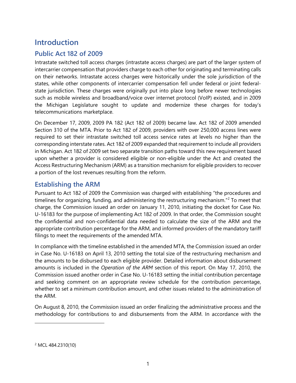# <span id="page-4-0"></span>**Introduction**

### <span id="page-4-1"></span>**Public Act 182 of 2009**

Intrastate switched toll access charges (intrastate access charges) are part of the larger system of intercarrier compensation that providers charge to each other for originating and terminating calls on their networks. Intrastate access charges were historically under the sole jurisdiction of the states, while other components of intercarrier compensation fell under federal or joint federalstate jurisdiction. These charges were originally put into place long before newer technologies such as mobile wireless and broadband/voice over internet protocol (VoIP) existed, and in 2009 the Michigan Legislature sought to update and modernize these charges for today's telecommunications marketplace.

On December 17, 2009, 2009 PA 182 (Act 182 of 2009) became law. Act 182 of 2009 amended Section 310 of the MTA*.* Prior to Act 182 of 2009, providers with over 250,000 access lines were required to set their intrastate switched toll access service rates at levels no higher than the corresponding interstate rates. Act 182 of 2009 expanded that requirement to include all providers in Michigan. Act 182 of 2009 set two separate transition paths toward this new requirement based upon whether a provider is considered eligible or non-eligible under the Act and created the Access Restructuring Mechanism (ARM) as a transition mechanism for eligible providers to recover a portion of the lost revenues resulting from the reform.

#### <span id="page-4-2"></span>**Establishing the ARM**

Pursuant to Act 182 of 2009 the Commission was charged with establishing "the procedures and timelines for organizing, funding, and administering the restructuring mechanism."<sup>[2](#page-4-3)</sup> To meet that charge, the Commission issued an order on January 11, 2010, initiating the docket for Case No. U-16183 for the purpose of implementing Act 182 of 2009. In that order, the Commission sought the confidential and non-confidential data needed to calculate the size of the ARM and the appropriate contribution percentage for the ARM, and informed providers of the mandatory tariff filings to meet the requirements of the amended MTA.

In compliance with the timeline established in the amended MTA, the Commission issued an order in Case No. U-16183 on April 13, 2010 setting the total size of the restructuring mechanism and the amounts to be disbursed to each eligible provider. Detailed information about disbursement amounts is included in the *Operation of the ARM* section of this report. On May 17, 2010, the Commission issued another order in Case No. U-16183 setting the initial contribution percentage and seeking comment on an appropriate review schedule for the contribution percentage, whether to set a minimum contribution amount, and other issues related to the administration of the ARM.

On August 8, 2010, the Commission issued an order finalizing the administrative process and the methodology for contributions to and disbursements from the ARM. In accordance with the

<span id="page-4-3"></span><sup>2</sup> MCL 484.2310(10)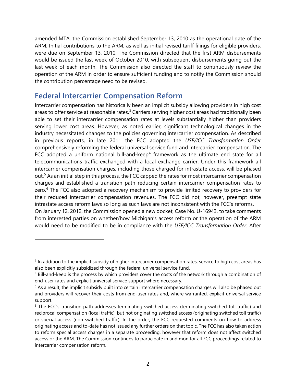amended MTA, the Commission established September 13, 2010 as the operational date of the ARM. Initial contributions to the ARM, as well as initial revised tariff filings for eligible providers, were due on September 13, 2010. The Commission directed that the first ARM disbursements would be issued the last week of October 2010, with subsequent disbursements going out the last week of each month. The Commission also directed the staff to continuously review the operation of the ARM in order to ensure sufficient funding and to notify the Commission should the contribution percentage need to be revised.

### <span id="page-5-0"></span>**Federal Intercarrier Compensation Reform**

Intercarrier compensation has historically been an implicit subsidy allowing providers in high cost areas to offer service at reasonable rates.<sup>[3](#page-5-1)</sup> Carriers serving higher cost areas had traditionally been able to set their intercarrier compensation rates at levels substantially higher than providers serving lower cost areas. However, as noted earlier, significant technological changes in the industry necessitated changes to the policies governing intercarrier compensation. As described in previous reports, in late 2011 the FCC adopted the *USF/ICC Transformation Order*  comprehensively reforming the federal universal service fund and intercarrier compensation. The FCC adopted a uniform national bill-and-keep<sup>[4](#page-5-2)</sup> framework as the ultimate end state for all telecommunications traffic exchanged with a local exchange carrier. Under this framework all intercarrier compensation charges, including those charged for intrastate access, will be phased out.<sup>[5](#page-5-3)</sup> As an initial step in this process, the FCC capped the rates for most intercarrier compensation charges and established a transition path reducing certain intercarrier compensation rates to zero. $6$  The FCC also adopted a recovery mechanism to provide limited recovery to providers for their reduced intercarrier compensation revenues. The FCC did not, however, preempt state intrastate access reform laws so long as such laws are not inconsistent with the FCC's reforms. On January 12, 2012, the Commission opened a new docket, Case No. U-16943, to take comments

from interested parties on whether/how Michigan's access reform or the operation of the ARM would need to be modified to be in compliance with the *USF/ICC Transformation Order*. After

<span id="page-5-1"></span><sup>&</sup>lt;sup>3</sup> In addition to the implicit subsidy of higher intercarrier compensation rates, service to high cost areas has also been explicitly subsidized through the federal universal service fund.

<span id="page-5-2"></span><sup>4</sup> Bill-and-keep is the process by which providers cover the costs of the network through a combination of end-user rates and explicit universal service support where necessary.

<span id="page-5-3"></span><sup>&</sup>lt;sup>5</sup> As a result, the implicit subsidy built into certain intercarrier compensation charges will also be phased out and providers will recover their costs from end-user rates and, where warranted, explicit universal service support.

<span id="page-5-4"></span><sup>&</sup>lt;sup>6</sup> The FCC's transition path addresses terminating switched access (terminating switched toll traffic) and reciprocal compensation (local traffic), but not originating switched access (originating switched toll traffic) or special access (non-switched traffic). In the order, the FCC requested comments on how to address originating access and to-date has not issued any further orders on that topic. The FCC has also taken action to reform special access charges in a separate proceeding, however that reform does not affect switched access or the ARM. The Commission continues to participate in and monitor all FCC proceedings related to intercarrier compensation reform.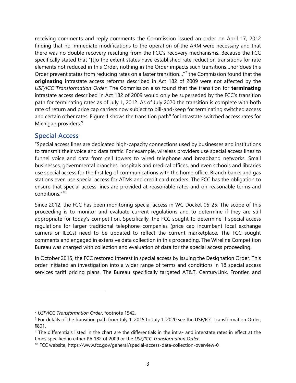receiving comments and reply comments the Commission issued an order on April 17, 2012 finding that no immediate modifications to the operation of the ARM were necessary and that there was no double recovery resulting from the FCC's recovery mechanisms. Because the FCC specifically stated that "[t]o the extent states have established rate reduction transitions for rate elements not reduced in this Order, nothing in the Order impacts such transitions…nor does this Order prevent states from reducing rates on a faster transition…"[7](#page-6-1) the Commission found that the **originating** intrastate access reforms described in Act 182 of 2009 were not affected by the *USF/ICC Transformation Order*. The Commission also found that the transition for **terminating** intrastate access described in Act 182 of 2009 would only be superseded by the FCC's transition path for terminating rates as of July 1, 2012. As of July 2020 the transition is complete with both rate of return and price cap carriers now subject to bill-and-keep for terminating switched access and certain other rates. Figure 1 shows the transition path<sup>[8](#page-6-2)</sup> for intrastate switched access rates for Michigan providers.<sup>[9](#page-6-3)</sup>

#### <span id="page-6-0"></span>**Special Access**

"Special access lines are dedicated high-capacity connections used by businesses and institutions to transmit their voice and data traffic. For example, wireless providers use special access lines to funnel voice and data from cell towers to wired telephone and broadband networks. Small businesses, governmental branches, hospitals and medical offices, and even schools and libraries use special access for the first leg of communications with the home office. Branch banks and gas stations even use special access for ATMs and credit card readers. The FCC has the obligation to ensure that special access lines are provided at reasonable rates and on reasonable terms and conditions."[10](#page-6-4)

Since 2012, the FCC has been monitoring special access in WC Docket 05-25. The scope of this proceeding is to monitor and evaluate current regulations and to determine if they are still appropriate for today's competition. Specifically, the FCC sought to determine if special access regulations for larger traditional telephone companies (price cap incumbent local exchange carriers or ILECs) need to be updated to reflect the current marketplace. The FCC sought comments and engaged in extensive data collection in this proceeding. The Wireline Competition Bureau was charged with collection and evaluation of data for the special access proceeding.

In October 2015, the FCC restored interest in special access by issuing the Designation Order. This order initiated an investigation into a wider range of terms and conditions in 18 special access services tariff pricing plans. The Bureau specifically targeted AT&T, CenturyLink, Frontier, and

<span id="page-6-1"></span><sup>7</sup> *USF/ICC Transformation Order*, footnote 1542.

<span id="page-6-2"></span><sup>&</sup>lt;sup>8</sup> For details of the transition path from July 1, 2015 to July 1, 2020 see the USF/ICC Transformation Order, ¶801.

<span id="page-6-3"></span><sup>&</sup>lt;sup>9</sup> The differentials listed in the chart are the differentials in the intra- and interstate rates in effect at the times specified in either PA 182 of 2009 or the *USF/ICC Transformation Order*.<br><sup>10</sup> FCC website, https://www.fcc.gov/general/special-access-data-collection-overview-0

<span id="page-6-4"></span>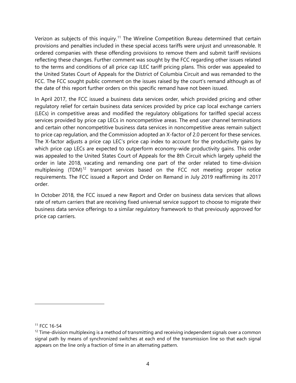Verizon as subjects of this inquiry.<sup>[11](#page-7-0)</sup> The Wireline Competition Bureau determined that certain provisions and penalties included in these special access tariffs were unjust and unreasonable. It ordered companies with these offending provisions to remove them and submit tariff revisions reflecting these changes. Further comment was sought by the FCC regarding other issues related to the terms and conditions of all price cap ILEC tariff pricing plans. This order was appealed to the United States Court of Appeals for the District of Columbia Circuit and was remanded to the FCC. The FCC sought public comment on the issues raised by the court's remand although as of the date of this report further orders on this specific remand have not been issued.

In April 2017, the FCC issued a business data services order, which provided pricing and other regulatory relief for certain business data services provided by price cap local exchange carriers (LECs) in competitive areas and modified the regulatory obligations for tariffed special access services provided by price cap LECs in noncompetitive areas. The end user channel terminations and certain other noncompetitive business data services in noncompetitive areas remain subject to price cap regulation, and the Commission adopted an X-factor of 2.0 percent for these services. The X-factor adjusts a price cap LEC's price cap index to account for the productivity gains by which price cap LECs are expected to outperform economy-wide productivity gains. This order was appealed to the United States Court of Appeals for the 8th Circuit which largely upheld the order in late 2018, vacating and remanding one part of the order related to time-division multiplexing (TDM)<sup>[12](#page-7-1)</sup> transport services based on the FCC not meeting proper notice requirements. The FCC issued a Report and Order on Remand in July 2019 reaffirming its 2017 order.

In October 2018, the FCC issued a new Report and Order on business data services that allows rate of return carriers that are receiving fixed universal service support to choose to migrate their business data service offerings to a similar regulatory framework to that previously approved for price cap carriers.

<span id="page-7-0"></span><sup>11</sup> FCC 16-54

<span id="page-7-1"></span> $12$  Time-division multiplexing is a method of transmitting and receiving independent signals over a common signal path by means of synchronized switches at each end of the transmission line so that each signal appears on the line only a fraction of time in an alternating pattern.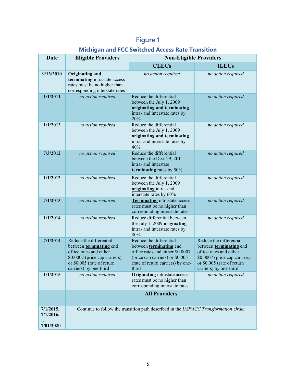# **Figure 1**

### **Michigan and FCC Switched Access Rate Transition**

| Date                                | <b>Eligible Providers</b>                                                                                                                                              | <b>Non-Eligible Providers</b>                                                                                                                                           |                                                                                                                                                                        |
|-------------------------------------|------------------------------------------------------------------------------------------------------------------------------------------------------------------------|-------------------------------------------------------------------------------------------------------------------------------------------------------------------------|------------------------------------------------------------------------------------------------------------------------------------------------------------------------|
|                                     |                                                                                                                                                                        | <b>CLECs</b>                                                                                                                                                            | <b>ILECs</b>                                                                                                                                                           |
| 9/13/2010                           | Originating and<br>terminating intrastate access<br>rates must be no higher than<br>corresponding interstate rates                                                     | no action required                                                                                                                                                      | no action required                                                                                                                                                     |
| 1/1/2011                            | no action required                                                                                                                                                     | Reduce the differential<br>between the July 1, 2009<br>originating and terminating<br>intra- and interstate rates by<br>20%                                             | no action required                                                                                                                                                     |
| 1/1/2012                            | no action required                                                                                                                                                     | Reduce the differential<br>between the July 1, 2009<br>originating and terminating<br>intra- and interstate rates by<br>40%                                             | no action required                                                                                                                                                     |
| 7/3/2012                            | no action required                                                                                                                                                     | Reduce the differential<br>between the Dec. 29, 2011<br>intra- and interstate<br>terminating rates by 50%.                                                              | no action required                                                                                                                                                     |
| 1/1/2013                            | no action required                                                                                                                                                     | Reduce the differential<br>between the July 1, 2009<br>originating intra- and<br>interstate rates by 60%                                                                | no action required                                                                                                                                                     |
| 7/1/2013                            | no action required                                                                                                                                                     | <b>Terminating</b> intrastate access<br>rates must be no higher than<br>corresponding interstate rates                                                                  | no action required                                                                                                                                                     |
| 1/1/2014                            | no action required                                                                                                                                                     | Reduce differential between<br>the July 1, 2009 originating<br>intra- and interstate rates by<br>80%                                                                    | no action required                                                                                                                                                     |
| 7/1/2014                            | Reduce the differential<br>between terminating end<br>office rates and either<br>\$0.0007 (price cap carriers)<br>or \$0.005 (rate of return<br>carriers) by one-third | Reduce the differential<br>between terminating end<br>office rates and either \$0.0007<br>(price cap carriers) or \$0.005<br>(rate of return carriers) by one-<br>third | Reduce the differential<br>between terminating end<br>office rates and either<br>\$0.0007 (price cap carriers)<br>or \$0.005 (rate of return<br>carriers) by one-third |
| 1/1/2015                            | no action required                                                                                                                                                     | <b>Originating</b> intrastate access<br>rates must be no higher than<br>corresponding interstate rates                                                                  | no action required                                                                                                                                                     |
|                                     | <b>All Providers</b>                                                                                                                                                   |                                                                                                                                                                         |                                                                                                                                                                        |
| 7/1/2015,<br>7/1/2016,<br>7/01/2020 | Continue to follow the transition path described in the USF/ICC Transformation Order                                                                                   |                                                                                                                                                                         |                                                                                                                                                                        |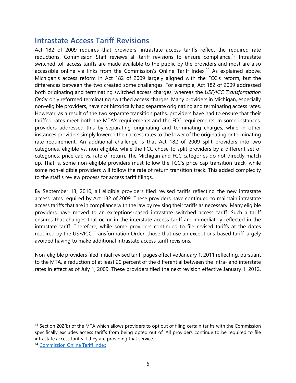### <span id="page-9-0"></span>**Intrastate Access Tariff Revisions**

Act 182 of 2009 requires that providers' intrastate access tariffs reflect the required rate reductions. Commission Staff reviews all tariff revisions to ensure compliance.<sup>[13](#page-9-1)</sup> Intrastate switched toll access tariffs are made available to the public by the providers and most are also accessible online via links from the Commission's Online Tariff Index.<sup>[14](#page-9-2)</sup> As explained above, Michigan's access reform in Act 182 of 2009 largely aligned with the FCC's reform, but the differences between the two created some challenges. For example, Act 182 of 2009 addressed both originating and terminating switched access charges, whereas the *USF/ICC Transformation Order* only reformed terminating switched access charges. Many providers in Michigan, especially non-eligible providers, have not historically had separate originating and terminating access rates. However, as a result of the two separate transition paths, providers have had to ensure that their tariffed rates meet both the MTA's requirements and the FCC requirements. In some instances, providers addressed this by separating originating and terminating charges, while in other instances providers simply lowered their access rates to the lower of the originating or terminating rate requirement. An additional challenge is that Act 182 of 2009 split providers into two categories, eligible vs. non-eligible, while the FCC chose to split providers by a different set of categories, price cap vs. rate of return. The Michigan and FCC categories do not directly match up. That is, some non-eligible providers must follow the FCC's price cap transition track, while some non-eligible providers will follow the rate of return transition track. This added complexity to the staff's review process for access tariff filings.

By September 13, 2010, all eligible providers filed revised tariffs reflecting the new intrastate access rates required by Act 182 of 2009. These providers have continued to maintain intrastate access tariffs that are in compliance with the law by revising their tariffs as necessary. Many eligible providers have moved to an exceptions-based intrastate switched access tariff. Such a tariff ensures that changes that occur in the interstate access tariff are immediately reflected in the intrastate tariff. Therefore, while some providers continued to file revised tariffs at the dates required by the USF/ICC Transformation Order, those that use an exceptions-based tariff largely avoided having to make additional intrastate access tariff revisions.

Non-eligible providers filed initial revised tariff pages effective January 1, 2011 reflecting, pursuant to the MTA, a reduction of at least 20 percent of the differential between the intra- and interstate rates in effect as of July 1, 2009. These providers filed the next revision effective January 1, 2012,

<span id="page-9-1"></span> $<sup>13</sup>$  Section 202(b) of the MTA which allows providers to opt out of filing certain tariffs with the Commission</sup> specifically excludes access tariffs from being opted out of. All providers continue to be required to file intrastate access tariffs if they are providing that service.

<span id="page-9-2"></span><sup>&</sup>lt;sup>14</sup> [Commission Online Tariff Index](https://www.michigan.gov/mpsc/0,9535,7-395-93309_93439_93464_94125_94126_94264_94265---,00.html)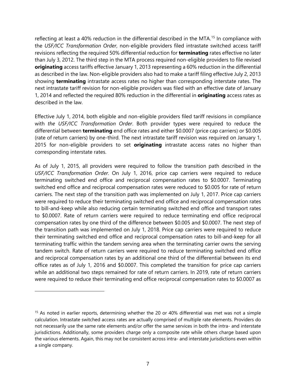reflecting at least a 40% reduction in the differential described in the MTA.<sup>[15](#page-10-0)</sup> In compliance with the *USF/ICC Transformation Order*, non-eligible providers filed intrastate switched access tariff revisions reflecting the required 50% differential reduction for **terminating** rates effective no later than July 3, 2012. The third step in the MTA process required non-eligible providers to file revised **originating** access tariffs effective January 1, 2013 representing a 60% reduction in the differential as described in the law. Non-eligible providers also had to make a tariff filing effective July 2, 2013 showing **terminating** intrastate access rates no higher than corresponding interstate rates. The next intrastate tariff revision for non-eligible providers was filed with an effective date of January 1, 2014 and reflected the required 80% reduction in the differential in **originating** access rates as described in the law.

Effective July 1, 2014, both eligible and non-eligible providers filed tariff revisions in compliance with *the USF/ICC Transformation Order*. Both provider types were required to reduce the differential between **terminating** end office rates and either \$0.0007 (price cap carriers) or \$0.005 (rate of return carriers) by one-third. The next intrastate tariff revision was required on January 1, 2015 for non-eligible providers to set **originating** intrastate access rates no higher than corresponding interstate rates.

As of July 1, 2015, all providers were required to follow the transition path described in the *USF/ICC Transformation Order.* On July 1, 2016, price cap carriers were required to reduce terminating switched end office and reciprocal compensation rates to \$0.0007. Terminating switched end office and reciprocal compensation rates were reduced to \$0.005 for rate of return carriers. The next step of the transition path was implemented on July 1, 2017. Price cap carriers were required to reduce their terminating switched end office and reciprocal compensation rates to bill-and-keep while also reducing certain terminating switched end office and transport rates to \$0.0007. Rate of return carriers were required to reduce terminating end office reciprocal compensation rates by one third of the difference between \$0.005 and \$0.0007. The next step of the transition path was implemented on July 1, 2018. Price cap carriers were required to reduce their terminating switched end office and reciprocal compensation rates to bill-and-keep for all terminating traffic within the tandem serving area when the terminating carrier owns the serving tandem switch. Rate of return carriers were required to reduce terminating switched end office and reciprocal compensation rates by an additional one third of the differential between its end office rates as of July 1, 2016 and \$0.0007. This completed the transition for price cap carriers while an additional two steps remained for rate of return carriers. In 2019, rate of return carriers were required to reduce their terminating end office reciprocal compensation rates to \$0.0007 as

<span id="page-10-0"></span><sup>&</sup>lt;sup>15</sup> As noted in earlier reports, determining whether the 20 or 40% differential was met was not a simple calculation. Intrastate switched access rates are actually comprised of multiple rate elements. Providers do not necessarily use the same rate elements and/or offer the same services in both the intra- and interstate jurisdictions. Additionally, some providers charge only a composite rate while others charge based upon the various elements. Again, this may not be consistent across intra- and interstate jurisdictions even within a single company.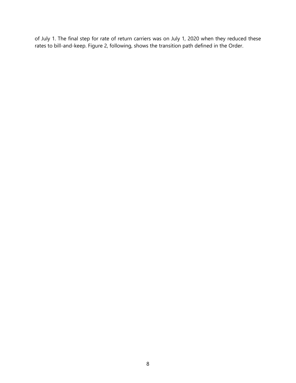of July 1. The final step for rate of return carriers was on July 1, 2020 when they reduced these rates to bill-and-keep. Figure 2, following, shows the transition path defined in the Order.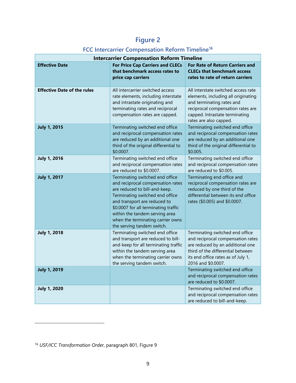# **Figure 2**

### **FCC Intercarrier Compensation Reform Timeline[16](#page-12-0)**

| <b>Intercarrier Compensation Reform Timeline</b> |                                                                                                                                                                                                                                                                                                                       |                                                                                                                                                                                                           |  |  |
|--------------------------------------------------|-----------------------------------------------------------------------------------------------------------------------------------------------------------------------------------------------------------------------------------------------------------------------------------------------------------------------|-----------------------------------------------------------------------------------------------------------------------------------------------------------------------------------------------------------|--|--|
| <b>Effective Date</b>                            | <b>For Price Cap Carriers and CLECs</b><br>that benchmark access rates to<br>price cap carriers                                                                                                                                                                                                                       | <b>For Rate of Return Carriers and</b><br><b>CLECs that benchmark access</b><br>rates to rate of return carriers                                                                                          |  |  |
| <b>Effective Date of the rules</b>               | All intercarrier switched access<br>rate elements, including interstate<br>and intrastate originating and<br>terminating rates and reciprocal<br>compensation rates are capped.                                                                                                                                       | All interstate switched access rate<br>elements, including all originating<br>and terminating rates and<br>reciprocal compensation rates are<br>capped. Intrastate terminating<br>rates are also capped.  |  |  |
| <b>July 1, 2015</b>                              | Terminating switched end office<br>and reciprocal compensation rates<br>are reduced by an additional one<br>third of the original differential to<br>\$0.0007.                                                                                                                                                        | Terminating switched end office<br>and reciprocal compensation rates<br>are reduced by an additional one<br>third of the original differential to<br>\$0.005.                                             |  |  |
| <b>July 1, 2016</b>                              | Terminating switched end office<br>and reciprocal compensation rates<br>are reduced to \$0.0007.                                                                                                                                                                                                                      | Terminating switched end office<br>and reciprocal compensation rates<br>are reduced to \$0.005.                                                                                                           |  |  |
| <b>July 1, 2017</b>                              | Terminating switched end office<br>and reciprocal compensation rates<br>are reduced to bill-and-keep.<br>Terminating switched end office<br>and transport are reduced to<br>\$0.0007 for all terminating traffic<br>within the tandem serving area<br>when the terminating carrier owns<br>the serving tandem switch. | Terminating end office and<br>reciprocal compensation rates are<br>reduced by one third of the<br>differential between its end office<br>rates (\$0.005) and \$0.0007.                                    |  |  |
| <b>July 1, 2018</b>                              | Terminating switched end office<br>and transport are reduced to bill-<br>and-keep for all terminating traffic<br>within the tandem serving area<br>when the terminating carrier owns<br>the serving tandem switch.                                                                                                    | Terminating switched end office<br>and reciprocal compensation rates<br>are reduced by an additional one<br>third of the differential between<br>its end office rates as of July 1,<br>2016 and \$0.0007. |  |  |
| <b>July 1, 2019</b>                              |                                                                                                                                                                                                                                                                                                                       | Terminating switched end office<br>and reciprocal compensation rates<br>are reduced to \$0.0007.                                                                                                          |  |  |
| <b>July 1, 2020</b>                              |                                                                                                                                                                                                                                                                                                                       | Terminating switched end office<br>and reciprocal compensation rates<br>are reduced to bill-and-keep.                                                                                                     |  |  |

<span id="page-12-0"></span><sup>16</sup> *USF/ICC Transformation Order*, paragraph 801, Figure 9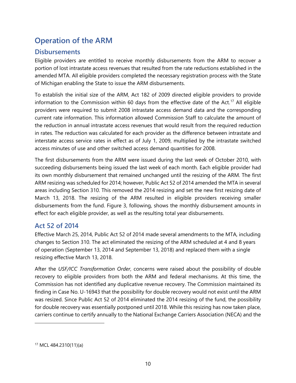# <span id="page-13-0"></span>**Operation of the ARM**

### <span id="page-13-1"></span>**Disbursements**

Eligible providers are entitled to receive monthly disbursements from the ARM to recover a portion of lost intrastate access revenues that resulted from the rate reductions established in the amended MTA. All eligible providers completed the necessary registration process with the State of Michigan enabling the State to issue the ARM disbursements.

To establish the initial size of the ARM, Act 182 of 2009 directed eligible providers to provide information to the Commission within 60 days from the effective date of the Act.<sup>[17](#page-13-3)</sup> All eligible providers were required to submit 2008 intrastate access demand data and the corresponding current rate information. This information allowed Commission Staff to calculate the amount of the reduction in annual intrastate access revenues that would result from the required reduction in rates. The reduction was calculated for each provider as the difference between intrastate and interstate access service rates in effect as of July 1, 2009, multiplied by the intrastate switched access minutes of use and other switched access demand quantities for 2008.

The first disbursements from the ARM were issued during the last week of October 2010, with succeeding disbursements being issued the last week of each month. Each eligible provider had its own monthly disbursement that remained unchanged until the resizing of the ARM. The first ARM resizing was scheduled for 2014; however, Public Act 52 of 2014 amended the MTA in several areas including Section 310. This removed the 2014 resizing and set the new first resizing date of March 13, 2018. The resizing of the ARM resulted in eligible providers receiving smaller disbursements from the fund. Figure 3, following, shows the monthly disbursement amounts in effect for each eligible provider, as well as the resulting total year disbursements.

### <span id="page-13-2"></span>**Act 52 of 2014**

Effective March 25, 2014, Public Act 52 of 2014 made several amendments to the MTA, including changes to Section 310. The act eliminated the resizing of the ARM scheduled at 4 and 8 years of operation (September 13, 2014 and September 13, 2018) and replaced them with a single resizing effective March 13, 2018.

After the *USF/ICC Transformation Order*, concerns were raised about the possibility of double recovery to eligible providers from both the ARM and federal mechanisms. At this time, the Commission has not identified any duplicative revenue recovery. The Commission maintained its finding in Case No. U-16943 that the possibility for double recovery would not exist until the ARM was resized. Since Public Act 52 of 2014 eliminated the 2014 resizing of the fund, the possibility for double recovery was essentially postponed until 2018. While this resizing has now taken place, carriers continue to certify annually to the National Exchange Carriers Association (NECA) and the

<span id="page-13-3"></span><sup>17</sup> MCL 484.2310(11)(a)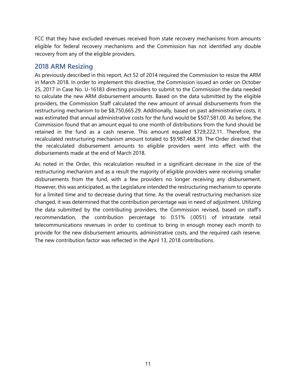FCC that they have excluded revenues received from state recovery mechanisms from amounts eligible for federal recovery mechanisms and the Commission has not identified any double recovery from any of the eligible providers.

#### <span id="page-14-0"></span>**2018 ARM Resizing**

As previously described in this report, Act 52 of 2014 required the Commission to resize the ARM in March 2018. In order to implement this directive, the Commission issued an order on October 25, 2017 in Case No. U-16183 directing providers to submit to the Commission the data needed to calculate the new ARM disbursement amounts. Based on the data submitted by the eligible providers, the Commission Staff calculated the new amount of annual disbursements from the restructuring mechanism to be \$8,750,665.29. Additionally, based on past administrative costs, it was estimated that annual administrative costs for the fund would be \$507,581.00. As before, the Commission found that an amount equal to one month of distributions from the fund should be retained in the fund as a cash reserve. This amount equaled \$729,222.11. Therefore, the recalculated restructuring mechanism amount totaled to \$9,987,468.39. The Order directed that the recalculated disbursement amounts to eligible providers went into effect with the disbursements made at the end of March 2018.

As noted in the Order, this recalculation resulted in a significant decrease in the size of the restructuring mechanism and as a result the majority of eligible providers were receiving smaller disbursements from the fund, with a few providers no longer receiving any disbursement. However, this was anticipated, as the Legislature intended the restructuring mechanism to operate for a limited time and to decrease during that time. As the overall restructuring mechanism size changed, it was determined that the contribution percentage was in need of adjustment. Utilizing the data submitted by the contributing providers, the Commission revised, based on staff's recommendation, the contribution percentage to 0.51% (.0051) of intrastate retail telecommunications revenues in order to continue to bring in enough money each month to provide for the new disbursement amounts, administrative costs, and the required cash reserve. The new contribution factor was reflected in the April 13, 2018 contributions.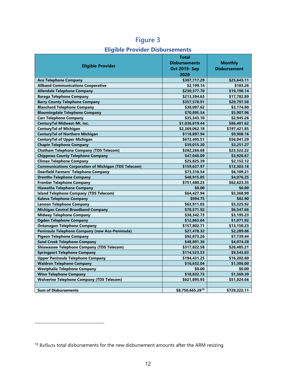|                                                                         | <b>Total</b>         |                     |
|-------------------------------------------------------------------------|----------------------|---------------------|
|                                                                         | <b>Disbursements</b> | <b>Monthly</b>      |
| <b>Eligible Provider</b>                                                | Oct 2019- Sep        | <b>Disbursement</b> |
|                                                                         | 2020                 |                     |
| <b>Ace Telephone Company</b>                                            | \$307,717.29         | \$25,643.11         |
| <b>Allband Communications Cooperative</b>                               | \$2,199.14           | \$183.26            |
| <b>Allendale Telephone Company</b>                                      | \$230,377.70         | \$19,198.14         |
| <b>Baraga Telephone Company</b>                                         | \$213,394.63         | \$17,782.89         |
| <b>Barry County Telephone Company</b>                                   | \$357,570.91         | \$29,797.58         |
| <b>Blanchard Telephone Company</b>                                      | \$38,097.62          | \$3,174.80          |
| <b>Bloomingdale Telephone Company</b>                                   | \$70,895.54          | \$5,907.96          |
| <b>Carr Telephone Company</b>                                           | \$35,343.10          | \$2,945.26          |
| CenturyTel Midwest-MI, Inc.                                             |                      |                     |
|                                                                         | \$1,036,819.44       | \$86,401.62         |
| <b>CenturyTel of Michigan</b><br><b>CenturyTel of Northern Michigan</b> | \$2,369,062.18       | \$197,421.85        |
|                                                                         | \$118,897.94         | \$9,908.16          |
| <b>CenturyTel of Upper Michigan</b>                                     | \$672,495.51         | \$56,041.29         |
| <b>Chapin Telephone Company</b>                                         | \$39,015.20          | \$3,251.27          |
| <b>Chatham Telephone Company (TDS Telecom)</b>                          | \$282,266.68         | \$23,522.22         |
| <b>Chippewa County Telephone Company</b>                                | \$47,048.09          | \$3,920.67          |
| <b>Climax Telephone Company</b>                                         | \$25,825.39          | \$2,152.12          |
| <b>Communications Corporation of Michigan (TDS Telecom)</b>             | \$159,637.97         | \$13,303.16         |
| <b>Deerfield Farmers' Telephone Company</b>                             | \$73,310.54          | \$6,109.21          |
| <b>Drenthe Telephone Company</b>                                        | \$48,915.05          | \$4,076.25          |
| <b>Frontier Telephone Company</b>                                       | \$751,480.23         | \$62,623.35         |
| <b>Hiawatha Telephone Company</b>                                       | \$0.00               | \$0.00              |
| <b>Island Telephone Company (TDS Telecom)</b>                           | \$64,427.94          | \$5,368.99          |
| Kaleva Telephone Company                                                | \$994.75             | \$82.90             |
| <b>Lennon Telephone Company</b>                                         | \$63,911.03          | \$5,325.92          |
| <b>Michigan Central Broadband Company</b>                               | \$78,571.92          | \$6,547.66          |
| <b>Midway Telephone Company</b>                                         | \$38,342.73          | \$3,195.23          |
| <b>Ogden Telephone Company</b>                                          | \$12,863.04          | \$1,071.92          |
| <b>Ontonagon Telephone Company</b>                                      | \$157,802.71         | \$13,150.23         |
| Peninsula Telephone Company (now Ace-Peninsula)                         | \$27,478.32          | \$2,289.86          |
| <b>Pigeon Telephone Company</b>                                         | \$92,873.26          | \$7,739.44          |
| <b>Sand Creek Telephone Company</b>                                     | \$48,891.36          | \$4,074.28          |
| <b>Shiawassee Telephone Company (TDS Telecom)</b>                       | \$317,822.58         | \$26,485.21         |
| <b>Springport Telephone Company</b>                                     | \$114,523.53         | \$9,543.63          |
| <b>Upper Peninsula Telephone Company</b>                                | \$194,431.25         | \$16,202.60         |
| <b>Waldron Telephone Company</b>                                        | \$16,632.04          | \$1,386.00          |
| <b>Westphalia Telephone Company</b>                                     | \$0.00               | \$0.00              |
| <b>Winn Telephone Company</b>                                           | \$18,832.73          | \$1,569.39          |
| <b>Wolverine Telephone Company (TDS Telecom)</b>                        | \$621,895.93         | \$51,824.66         |
|                                                                         |                      |                     |
| <b>Sum of Disbursements</b>                                             | \$8,750,665.2918     | \$729,222.11        |

# **Figure 3**

#### **Eligible Provider Disbursements**

<span id="page-15-0"></span><sup>&</sup>lt;sup>18</sup> Reflects total disbursements for the new disbursement amounts after the ARM resizing.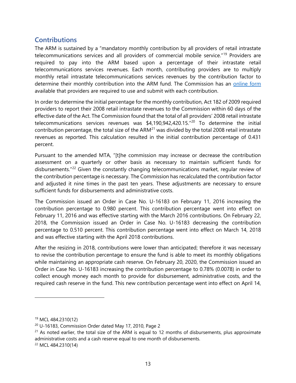### <span id="page-16-0"></span>**Contributions**

The ARM is sustained by a "mandatory monthly contribution by all providers of retail intrastate telecommunications services and all providers of commercial mobile service."<sup>[19](#page-16-1)</sup> Providers are required to pay into the ARM based upon a percentage of their intrastate retail telecommunications services revenues. Each month, contributing providers are to multiply monthly retail intrastate telecommunications services revenues by the contribution factor to determine their monthly contribution into the ARM fund. The Commission has an [online form](https://mpsc_forms.apps.lara.state.mi.us/MPSC_Forms/armccm) available that providers are required to use and submit with each contribution.

In order to determine the initial percentage for the monthly contribution, Act 182 of 2009 required providers to report their 2008 retail intrastate revenues to the Commission within 60 days of the effective date of the Act. The Commission found that the total of all providers' 2008 retail intrastate telecommunications services revenues was \$4,190,942,4[20](#page-16-2).15."<sup>20</sup> To determine the initial contribution percentage, the total size of the ARM $^{21}$  $^{21}$  $^{21}$  was divided by the total 2008 retail intrastate revenues as reported. This calculation resulted in the initial contribution percentage of 0.431 percent.

Pursuant to the amended MTA, "[t]he commission may increase or decrease the contribution assessment on a quarterly or other basis as necessary to maintain sufficient funds for disbursements."<sup>[22](#page-16-4)</sup> Given the constantly changing telecommunications market, regular review of the contribution percentage is necessary. The Commission has recalculated the contribution factor and adjusted it nine times in the past ten years. These adjustments are necessary to ensure sufficient funds for disbursements and administrative costs.

The Commission issued an Order in Case No. U-16183 on February 11, 2016 increasing the contribution percentage to 0.980 percent. This contribution percentage went into effect on February 11, 2016 and was effective starting with the March 2016 contributions. On February 22, 2018, the Commission issued an Order in Case No. U-16183 decreasing the contribution percentage to 0.510 percent. This contribution percentage went into effect on March 14, 2018 and was effective starting with the April 2018 contributions.

After the resizing in 2018, contributions were lower than anticipated; therefore it was necessary to revise the contribution percentage to ensure the fund is able to meet its monthly obligations while maintaining an appropriate cash reserve. On February 20, 2020, the Commission issued an Order in Case No. U-16183 increasing the contribution percentage to 0.78% (0.0078) in order to collect enough money each month to provide for disbursement, administrative costs, and the required cash reserve in the fund. This new contribution percentage went into effect on April 14,

<span id="page-16-1"></span><sup>19</sup> MCL 484.2310(12)

<span id="page-16-2"></span><sup>20</sup> U-16183, Commission Order dated May 17, 2010, Page 2

<span id="page-16-3"></span> $21$  As noted earlier, the total size of the ARM is equal to 12 months of disbursements, plus approximate administrative costs and a cash reserve equal to one month of disbursements.

<span id="page-16-4"></span><sup>22</sup> MCL 484.2310(14)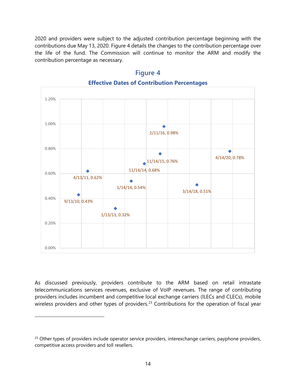2020 and providers were subject to the adjusted contribution percentage beginning with the contributions due May 13, 2020. Figure 4 details the changes to the contribution percentage over the life of the fund. The Commission will continue to monitor the ARM and modify the contribution percentage as necessary.



### **Figure 4 Effective Dates of Contribution Percentages**

As discussed previously, providers contribute to the ARM based on retail intrastate telecommunications services revenues, exclusive of VoIP revenues. The range of contributing providers includes incumbent and competitive local exchange carriers (ILECs and CLECs), mobile wireless providers and other types of providers.<sup>[23](#page-17-0)</sup> Contributions for the operation of fiscal year

<span id="page-17-0"></span><sup>&</sup>lt;sup>23</sup> Other types of providers include operator service providers, interexchange carriers, payphone providers, competitive access providers and toll resellers.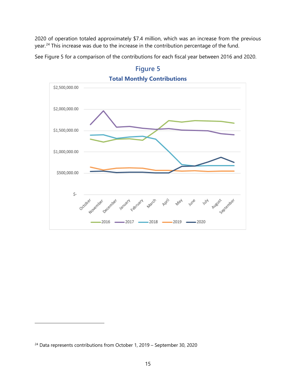2020 of operation totaled approximately \$7.4 million, which was an increase from the previous year.<sup>[24](#page-18-0)</sup> This increase was due to the increase in the contribution percentage of the fund.

See Figure 5 for a comparison of the contributions for each fiscal year between 2016 and 2020.





<span id="page-18-0"></span><sup>24</sup> Data represents contributions from October 1, 2019 – September 30, 2020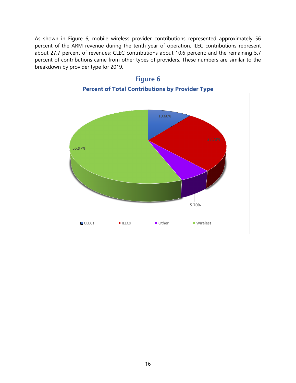As shown in Figure 6, mobile wireless provider contributions represented approximately 56 percent of the ARM revenue during the tenth year of operation. ILEC contributions represent about 27.7 percent of revenues; CLEC contributions about 10.6 percent; and the remaining 5.7 percent of contributions came from other types of providers. These numbers are similar to the breakdown by provider type for 2019.



**Figure 6**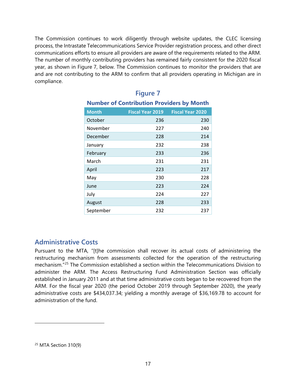The Commission continues to work diligently through website updates, the CLEC licensing process, the Intrastate Telecommunications Service Provider registration process, and other direct communications efforts to ensure all providers are aware of the requirements related to the ARM. The number of monthly contributing providers has remained fairly consistent for the 2020 fiscal year, as shown in Figure 7, below. The Commission continues to monitor the providers that are and are not contributing to the ARM to confirm that all providers operating in Michigan are in compliance.

| <b>Number of Contribution Providers by Month</b> |                         |                         |  |  |
|--------------------------------------------------|-------------------------|-------------------------|--|--|
| <b>Month</b>                                     | <b>Fiscal Year 2019</b> | <b>Fiscal Year 2020</b> |  |  |
| October                                          | 236                     | 230                     |  |  |
| November                                         | 227                     | 240                     |  |  |
| December                                         | 228                     | 214                     |  |  |
| January                                          | 232                     | 238                     |  |  |
| February                                         | 233                     | 236                     |  |  |
| March                                            | 231                     | 231                     |  |  |
| April                                            | 223                     | 217                     |  |  |
| May                                              | 230                     | 228                     |  |  |
| June                                             | 223                     | 224                     |  |  |
| July                                             | 224                     | 227                     |  |  |
| August                                           | 228                     | 233                     |  |  |
| September                                        | 232                     | 237                     |  |  |

# **Figure 7**

#### <span id="page-20-0"></span>**Administrative Costs**

Pursuant to the MTA, "[t]he commission shall recover its actual costs of administering the restructuring mechanism from assessments collected for the operation of the restructuring mechanism."[25](#page-20-1) The Commission established a section within the Telecommunications Division to administer the ARM. The Access Restructuring Fund Administration Section was officially established in January 2011 and at that time administrative costs began to be recovered from the ARM. For the fiscal year 2020 (the period October 2019 through September 2020), the yearly administrative costs are \$434,037.34; yielding a monthly average of \$36,169.78 to account for administration of the fund.

<span id="page-20-1"></span><sup>25</sup> MTA Section 310(9)